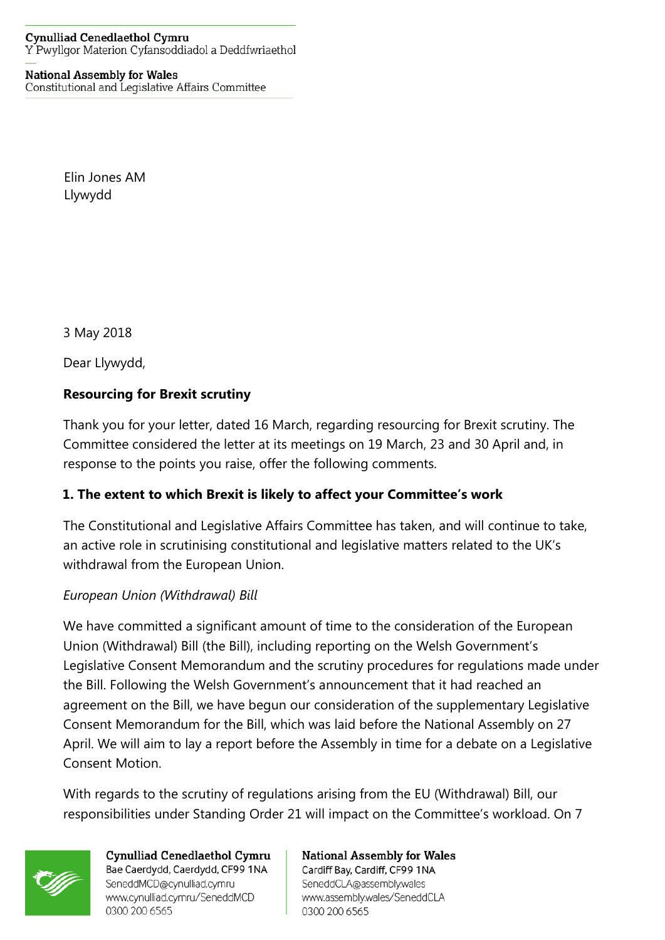#### **Cynulliad Cenedlaethol Cymru** Y Pwyllgor Materion Cyfansoddiadol a Deddfwriaethol

#### **National Assembly for Wales**

Constitutional and Legislative Affairs Committee

Elin Jones AM Llywydd

3 May 2018

Dear Llywydd,

# **Resourcing for Brexit scrutiny**

Thank you for your letter, dated 16 March, regarding resourcing for Brexit scrutiny. The Committee considered the letter at its meetings on 19 March, 23 and 30 April and, in response to the points you raise, offer the following comments.

# **1. The extent to which Brexit is likely to affect your Committee's work**

The Constitutional and Legislative Affairs Committee has taken, and will continue to take, an active role in scrutinising constitutional and legislative matters related to the UK's withdrawal from the European Union.

## *European Union (Withdrawal) Bill*

We have committed a significant amount of time to the consideration of the European Union (Withdrawal) Bill (the Bill), including reporting on the Welsh Government's Legislative Consent Memorandum and the scrutiny procedures for regulations made under the Bill. Following the Welsh Government's announcement that it had reached an agreement on the Bill, we have begun our consideration of the supplementary Legislative Consent Memorandum for the Bill, which was laid before the National Assembly on 27 April. We will aim to lay a report before the Assembly in time for a debate on a Legislative Consent Motion.

With regards to the scrutiny of regulations arising from the EU (Withdrawal) Bill, our responsibilities under Standing Order 21 will impact on the Committee's workload. On 7

0300 200 6565



Cynulliad Cenedlaethol Cymru Bae Caerdydd, Caerdydd, CF99 1NA SeneddMCD@cynulliad.cymru www.cynulliad.cymru/SeneddMCD 0300 200 6565

#### **National Assembly for Wales** Cardiff Bay, Cardiff, CF99 1NA SeneddCLA@assembly.wales www.assembly.wales/SeneddCLA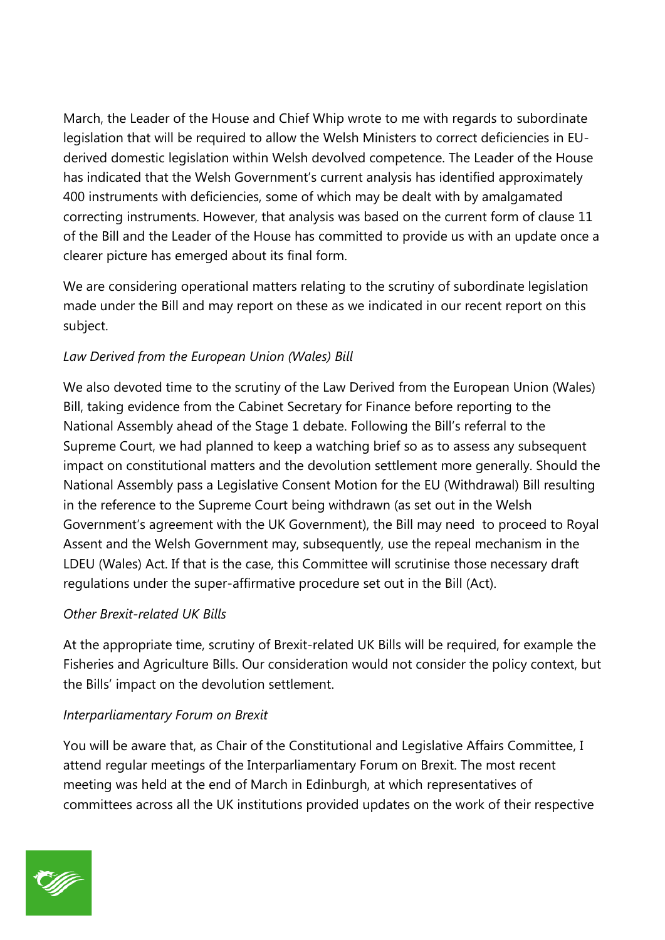March, the Leader of the House and Chief Whip wrote to me with regards to subordinate legislation that will be required to allow the Welsh Ministers to correct deficiencies in EUderived domestic legislation within Welsh devolved competence. The Leader of the House has indicated that the Welsh Government's current analysis has identified approximately 400 instruments with deficiencies, some of which may be dealt with by amalgamated correcting instruments. However, that analysis was based on the current form of clause 11 of the Bill and the Leader of the House has committed to provide us with an update once a clearer picture has emerged about its final form.

We are considering operational matters relating to the scrutiny of subordinate legislation made under the Bill and may report on these as we indicated in our recent report on this subject.

# *Law Derived from the European Union (Wales) Bill*

We also devoted time to the scrutiny of the Law Derived from the European Union (Wales) Bill, taking evidence from the Cabinet Secretary for Finance before reporting to the National Assembly ahead of the Stage 1 debate. Following the Bill's referral to the Supreme Court, we had planned to keep a watching brief so as to assess any subsequent impact on constitutional matters and the devolution settlement more generally. Should the National Assembly pass a Legislative Consent Motion for the EU (Withdrawal) Bill resulting in the reference to the Supreme Court being withdrawn (as set out in the Welsh Government's agreement with the UK Government), the Bill may need to proceed to Royal Assent and the Welsh Government may, subsequently, use the repeal mechanism in the LDEU (Wales) Act. If that is the case, this Committee will scrutinise those necessary draft regulations under the super-affirmative procedure set out in the Bill (Act).

## *Other Brexit-related UK Bills*

At the appropriate time, scrutiny of Brexit-related UK Bills will be required, for example the Fisheries and Agriculture Bills. Our consideration would not consider the policy context, but the Bills' impact on the devolution settlement.

## *Interparliamentary Forum on Brexit*

You will be aware that, as Chair of the Constitutional and Legislative Affairs Committee, I attend regular meetings of the Interparliamentary Forum on Brexit. The most recent meeting was held at the end of March in Edinburgh, at which representatives of committees across all the UK institutions provided updates on the work of their respective

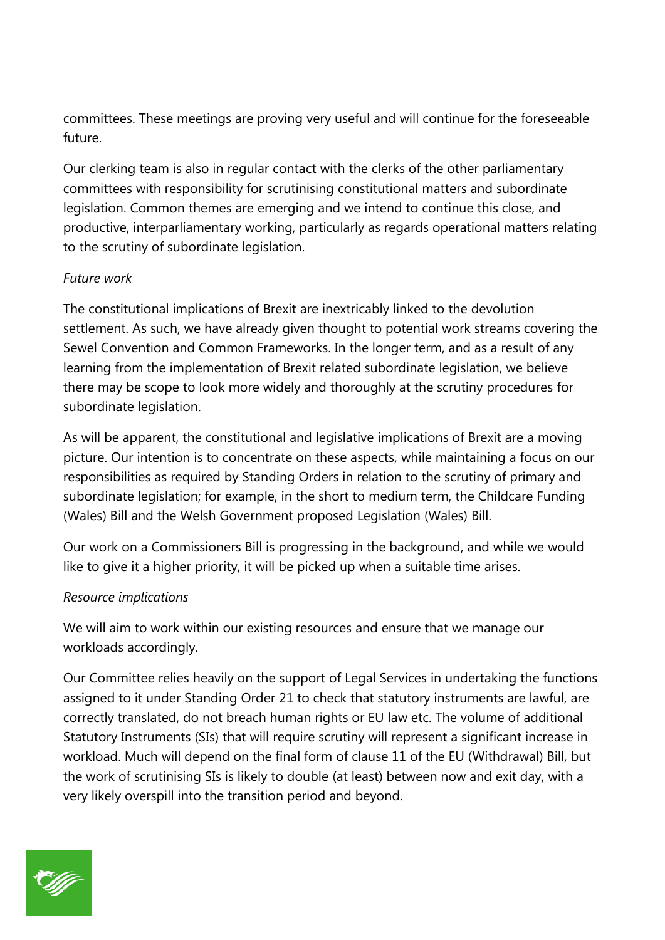committees. These meetings are proving very useful and will continue for the foreseeable future.

Our clerking team is also in regular contact with the clerks of the other parliamentary committees with responsibility for scrutinising constitutional matters and subordinate legislation. Common themes are emerging and we intend to continue this close, and productive, interparliamentary working, particularly as regards operational matters relating to the scrutiny of subordinate legislation.

#### *Future work*

The constitutional implications of Brexit are inextricably linked to the devolution settlement. As such, we have already given thought to potential work streams covering the Sewel Convention and Common Frameworks. In the longer term, and as a result of any learning from the implementation of Brexit related subordinate legislation, we believe there may be scope to look more widely and thoroughly at the scrutiny procedures for subordinate legislation.

As will be apparent, the constitutional and legislative implications of Brexit are a moving picture. Our intention is to concentrate on these aspects, while maintaining a focus on our responsibilities as required by Standing Orders in relation to the scrutiny of primary and subordinate legislation; for example, in the short to medium term, the Childcare Funding (Wales) Bill and the Welsh Government proposed Legislation (Wales) Bill.

Our work on a Commissioners Bill is progressing in the background, and while we would like to give it a higher priority, it will be picked up when a suitable time arises.

#### *Resource implications*

We will aim to work within our existing resources and ensure that we manage our workloads accordingly.

Our Committee relies heavily on the support of Legal Services in undertaking the functions assigned to it under Standing Order 21 to check that statutory instruments are lawful, are correctly translated, do not breach human rights or EU law etc. The volume of additional Statutory Instruments (SIs) that will require scrutiny will represent a significant increase in workload. Much will depend on the final form of clause 11 of the EU (Withdrawal) Bill, but the work of scrutinising SIs is likely to double (at least) between now and exit day, with a very likely overspill into the transition period and beyond.

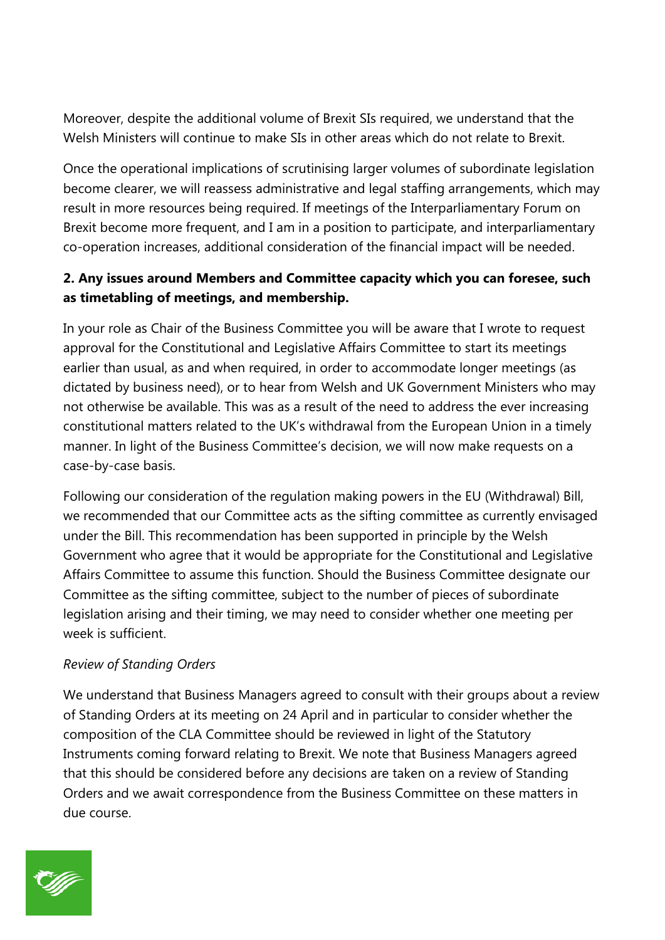Moreover, despite the additional volume of Brexit SIs required, we understand that the Welsh Ministers will continue to make SIs in other areas which do not relate to Brexit.

Once the operational implications of scrutinising larger volumes of subordinate legislation become clearer, we will reassess administrative and legal staffing arrangements, which may result in more resources being required. If meetings of the Interparliamentary Forum on Brexit become more frequent, and I am in a position to participate, and interparliamentary co-operation increases, additional consideration of the financial impact will be needed.

# **2. Any issues around Members and Committee capacity which you can foresee, such as timetabling of meetings, and membership.**

In your role as Chair of the Business Committee you will be aware that I wrote to request approval for the Constitutional and Legislative Affairs Committee to start its meetings earlier than usual, as and when required, in order to accommodate longer meetings (as dictated by business need), or to hear from Welsh and UK Government Ministers who may not otherwise be available. This was as a result of the need to address the ever increasing constitutional matters related to the UK's withdrawal from the European Union in a timely manner. In light of the Business Committee's decision, we will now make requests on a case-by-case basis.

Following our consideration of the regulation making powers in the EU (Withdrawal) Bill, we recommended that our Committee acts as the sifting committee as currently envisaged under the Bill. This recommendation has been supported in principle by the Welsh Government who agree that it would be appropriate for the Constitutional and Legislative Affairs Committee to assume this function. Should the Business Committee designate our Committee as the sifting committee, subject to the number of pieces of subordinate legislation arising and their timing, we may need to consider whether one meeting per week is sufficient.

## *Review of Standing Orders*

We understand that Business Managers agreed to consult with their groups about a review of Standing Orders at its meeting on 24 April and in particular to consider whether the composition of the CLA Committee should be reviewed in light of the Statutory Instruments coming forward relating to Brexit. We note that Business Managers agreed that this should be considered before any decisions are taken on a review of Standing Orders and we await correspondence from the Business Committee on these matters in due course.